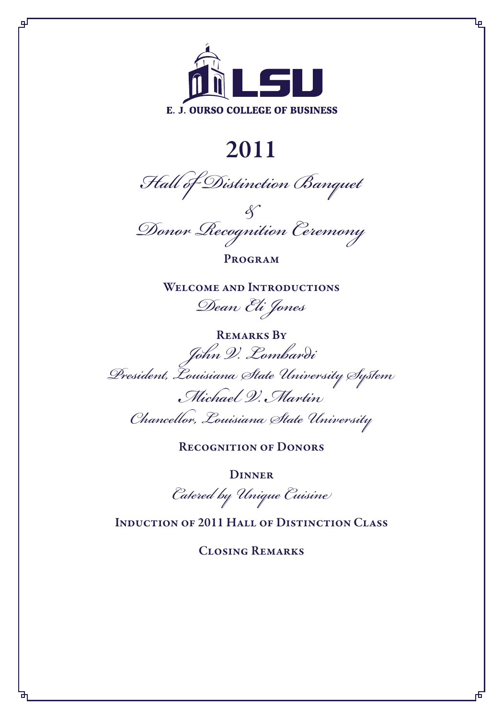

Ļp

цJ

# 2011

*Hall of Distinction Banquet*

*& Donor Recognition Ceremony*

**PROGRAM** 

WELCOME AND INTRODUCTIONS *Dean Eli Jones*

REMARKS BY *John V. Lombardi President, Louisiana State University System Michael V. Martin Chancellor, Louisiana State University*

RECOGNITION OF DONORS

**DINNER** 

*Catered by Unique Cuisine*

Induction of 2011 Hall of Distinction Class

Closing Remarks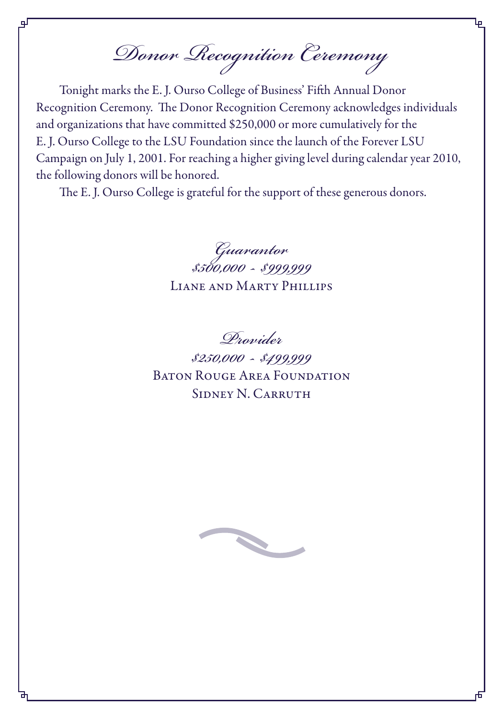*Donor Recognition Ceremony*

Tonight marks the E. J. Ourso College of Business' Fifth Annual Donor Recognition Ceremony. The Donor Recognition Ceremony acknowledges individuals and organizations that have committed \$250,000 or more cumulatively for the E. J. Ourso College to the LSU Foundation since the launch of the Forever LSU Campaign on July 1, 2001. For reaching a higher giving level during calendar year 2010, the following donors will be honored.

The E. J. Ourso College is grateful for the support of these generous donors.

*Guarantor \$500,000 - \$999,999* Liane and Marty Phillips

*Provider*

*\$250,000 - \$499,999* BATON ROUGE AREA FOUNDATION SIDNEY N. CARRUTH

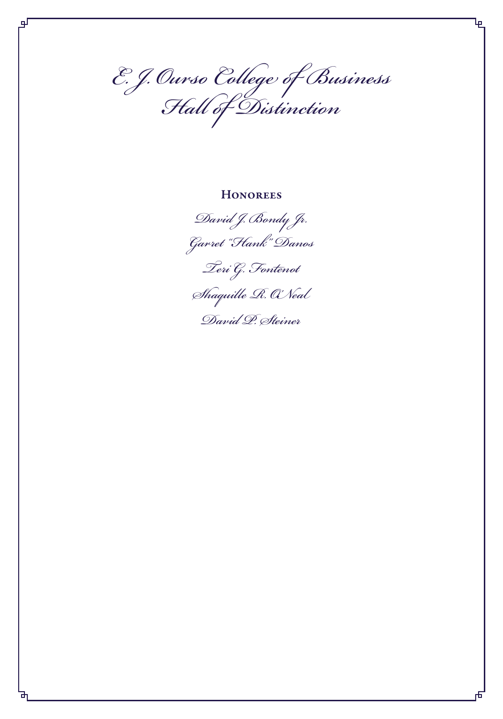*E. J. Ourso College of Business Hall of Distinction*

டி

#### **HONOREES**



Ļρ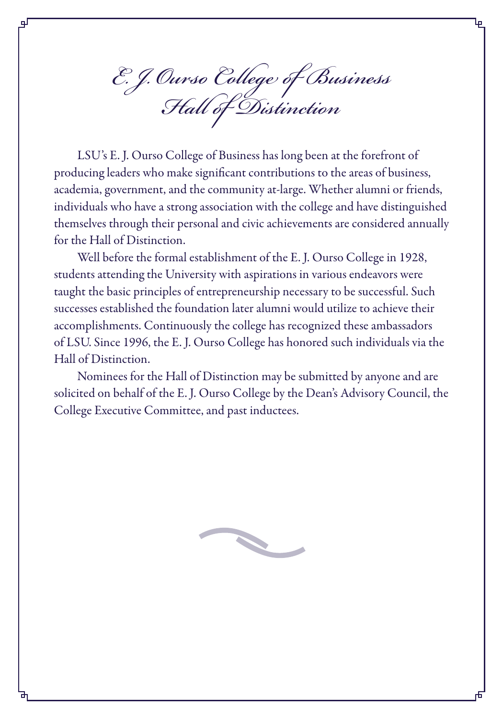*E. J. Ourso College of Business Hall of Distinction*

ᇛ

LSU's E. J. Ourso College of Business has long been at the forefront of producing leaders who make significant contributions to the areas of business, academia, government, and the community at-large. Whether alumni or friends, individuals who have a strong association with the college and have distinguished themselves through their personal and civic achievements are considered annually for the Hall of Distinction.

Well before the formal establishment of the E. J. Ourso College in 1928, students attending the University with aspirations in various endeavors were taught the basic principles of entrepreneurship necessary to be successful. Such successes established the foundation later alumni would utilize to achieve their accomplishments. Continuously the college has recognized these ambassadors of LSU. Since 1996, the E. J. Ourso College has honored such individuals via the Hall of Distinction.

Nominees for the Hall of Distinction may be submitted by anyone and are solicited on behalf of the E. J. Ourso College by the Dean's Advisory Council, the College Executive Committee, and past inductees.

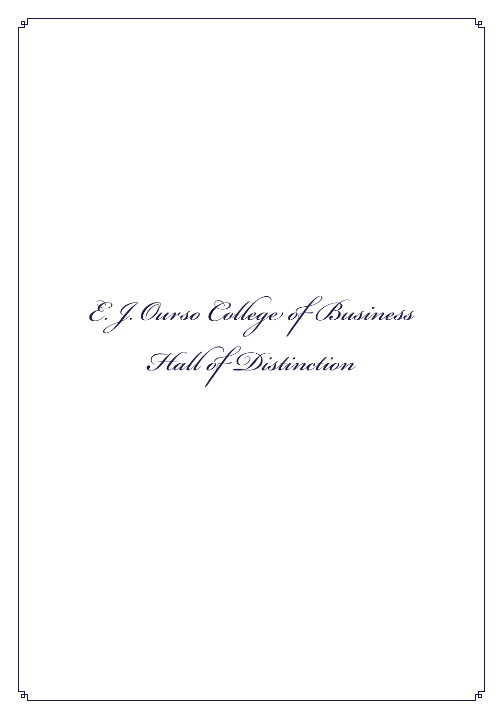*E. J. Ourso College of Business*

*Hall of Distinction*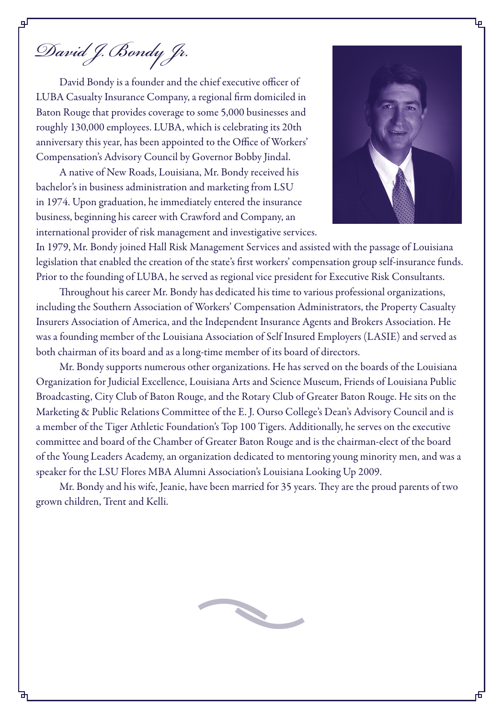*David J. Bondy Jr.*

David Bondy is a founder and the chief executive officer of LUBA Casualty Insurance Company, a regional firm domiciled in Baton Rouge that provides coverage to some 5,000 businesses and roughly 130,000 employees. LUBA, which is celebrating its 20th anniversary this year, has been appointed to the Office of Workers' Compensation's Advisory Council by Governor Bobby Jindal.

A native of New Roads, Louisiana, Mr. Bondy received his bachelor's in business administration and marketing from LSU in 1974. Upon graduation, he immediately entered the insurance business, beginning his career with Crawford and Company, an international provider of risk management and investigative services.



In 1979, Mr. Bondy joined Hall Risk Management Services and assisted with the passage of Louisiana legislation that enabled the creation of the state's first workers' compensation group self-insurance funds. Prior to the founding of LUBA, he served as regional vice president for Executive Risk Consultants.

Throughout his career Mr. Bondy has dedicated his time to various professional organizations, including the Southern Association of Workers' Compensation Administrators, the Property Casualty Insurers Association of America, and the Independent Insurance Agents and Brokers Association. He was a founding member of the Louisiana Association of Self Insured Employers (LASIE) and served as both chairman of its board and as a long-time member of its board of directors.

Mr. Bondy supports numerous other organizations. He has served on the boards of the Louisiana Organization for Judicial Excellence, Louisiana Arts and Science Museum, Friends of Louisiana Public Broadcasting, City Club of Baton Rouge, and the Rotary Club of Greater Baton Rouge. He sits on the Marketing & Public Relations Committee of the E. J. Ourso College's Dean's Advisory Council and is a member of the Tiger Athletic Foundation's Top 100 Tigers. Additionally, he serves on the executive committee and board of the Chamber of Greater Baton Rouge and is the chairman-elect of the board of the Young Leaders Academy, an organization dedicated to mentoring young minority men, and was a speaker for the LSU Flores MBA Alumni Association's Louisiana Looking Up 2009.

Mr. Bondy and his wife, Jeanie, have been married for 35 years. They are the proud parents of two grown children, Trent and Kelli.

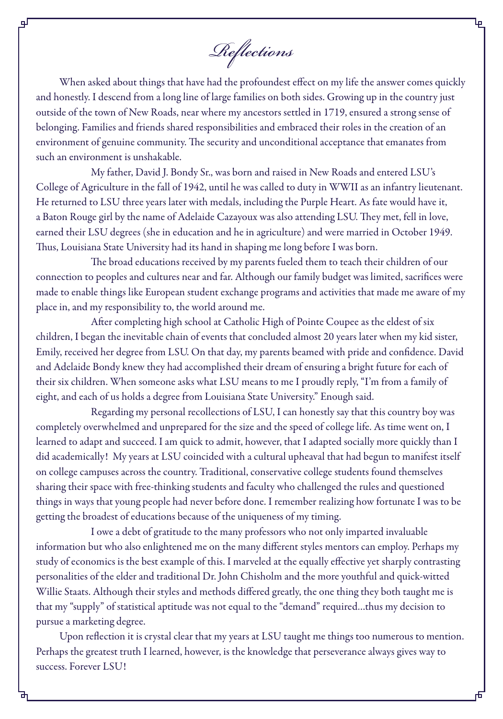*Reflections*

When asked about things that have had the profoundest effect on my life the answer comes quickly and honestly. I descend from a long line of large families on both sides. Growing up in the country just outside of the town of New Roads, near where my ancestors settled in 1719, ensured a strong sense of belonging. Families and friends shared responsibilities and embraced their roles in the creation of an environment of genuine community. The security and unconditional acceptance that emanates from such an environment is unshakable.

My father, David J. Bondy Sr., was born and raised in New Roads and entered LSU's College of Agriculture in the fall of 1942, until he was called to duty in WWII as an infantry lieutenant. He returned to LSU three years later with medals, including the Purple Heart. As fate would have it, a Baton Rouge girl by the name of Adelaide Cazayoux was also attending LSU. They met, fell in love, earned their LSU degrees (she in education and he in agriculture) and were married in October 1949. Thus, Louisiana State University had its hand in shaping me long before I was born.

The broad educations received by my parents fueled them to teach their children of our connection to peoples and cultures near and far. Although our family budget was limited, sacrifices were made to enable things like European student exchange programs and activities that made me aware of my place in, and my responsibility to, the world around me.

After completing high school at Catholic High of Pointe Coupee as the eldest of six children, I began the inevitable chain of events that concluded almost 20 years later when my kid sister, Emily, received her degree from LSU. On that day, my parents beamed with pride and confidence. David and Adelaide Bondy knew they had accomplished their dream of ensuring a bright future for each of their six children. When someone asks what LSU means to me I proudly reply, "I'm from a family of eight, and each of us holds a degree from Louisiana State University." Enough said.

Regarding my personal recollections of LSU, I can honestly say that this country boy was completely overwhelmed and unprepared for the size and the speed of college life. As time went on, I learned to adapt and succeed. I am quick to admit, however, that I adapted socially more quickly than I did academically! My years at LSU coincided with a cultural upheaval that had begun to manifest itself on college campuses across the country. Traditional, conservative college students found themselves sharing their space with free-thinking students and faculty who challenged the rules and questioned things in ways that young people had never before done. I remember realizing how fortunate I was to be getting the broadest of educations because of the uniqueness of my timing.

I owe a debt of gratitude to the many professors who not only imparted invaluable information but who also enlightened me on the many different styles mentors can employ. Perhaps my study of economics is the best example of this. I marveled at the equally effective yet sharply contrasting personalities of the elder and traditional Dr. John Chisholm and the more youthful and quick-witted Willie Staats. Although their styles and methods differed greatly, the one thing they both taught me is that my "supply" of statistical aptitude was not equal to the "demand" required…thus my decision to pursue a marketing degree.

Upon reflection it is crystal clear that my years at LSU taught me things too numerous to mention. Perhaps the greatest truth I learned, however, is the knowledge that perseverance always gives way to success. Forever LSU!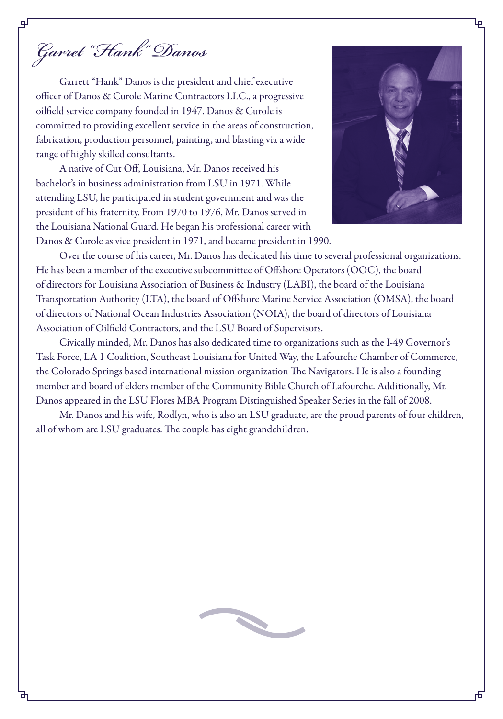*Garret "Hank" Danos*

Garrett "Hank" Danos is the president and chief executive officer of Danos & Curole Marine Contractors LLC., a progressive oilfield service company founded in 1947. Danos & Curole is committed to providing excellent service in the areas of construction, fabrication, production personnel, painting, and blasting via a wide range of highly skilled consultants.

A native of Cut Off, Louisiana, Mr. Danos received his bachelor's in business administration from LSU in 1971. While attending LSU, he participated in student government and was the president of his fraternity. From 1970 to 1976, Mr. Danos served in the Louisiana National Guard. He began his professional career with Danos & Curole as vice president in 1971, and became president in 1990.



Over the course of his career, Mr. Danos has dedicated his time to several professional organizations. He has been a member of the executive subcommittee of Offshore Operators (OOC), the board of directors for Louisiana Association of Business & Industry (LABI), the board of the Louisiana Transportation Authority (LTA), the board of Offshore Marine Service Association (OMSA), the board of directors of National Ocean Industries Association (NOIA), the board of directors of Louisiana Association of Oilfield Contractors, and the LSU Board of Supervisors.

Civically minded, Mr. Danos has also dedicated time to organizations such as the I-49 Governor's Task Force, LA 1 Coalition, Southeast Louisiana for United Way, the Lafourche Chamber of Commerce, the Colorado Springs based international mission organization The Navigators. He is also a founding member and board of elders member of the Community Bible Church of Lafourche. Additionally, Mr. Danos appeared in the LSU Flores MBA Program Distinguished Speaker Series in the fall of 2008.

Mr. Danos and his wife, Rodlyn, who is also an LSU graduate, are the proud parents of four children, all of whom are LSU graduates. The couple has eight grandchildren.

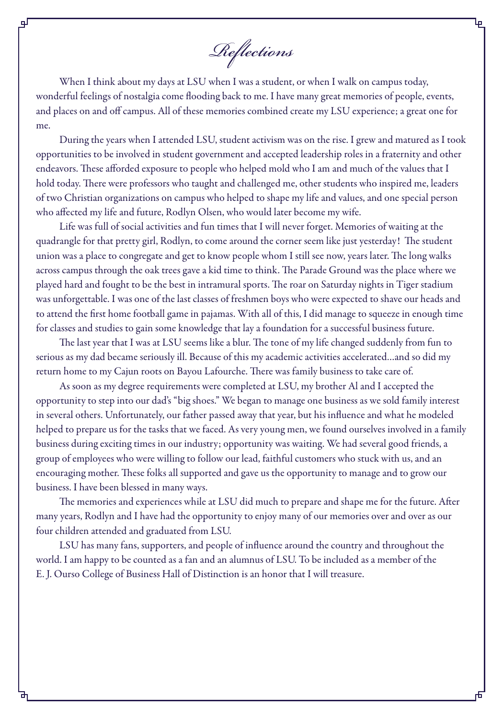*Reflections*

цI

When I think about my days at LSU when I was a student, or when I walk on campus today, wonderful feelings of nostalgia come flooding back to me. I have many great memories of people, events, and places on and off campus. All of these memories combined create my LSU experience; a great one for me.

During the years when I attended LSU, student activism was on the rise. I grew and matured as I took opportunities to be involved in student government and accepted leadership roles in a fraternity and other endeavors. These afforded exposure to people who helped mold who I am and much of the values that I hold today. There were professors who taught and challenged me, other students who inspired me, leaders of two Christian organizations on campus who helped to shape my life and values, and one special person who affected my life and future, Rodlyn Olsen, who would later become my wife.

Life was full of social activities and fun times that I will never forget. Memories of waiting at the quadrangle for that pretty girl, Rodlyn, to come around the corner seem like just yesterday! The student union was a place to congregate and get to know people whom I still see now, years later. The long walks across campus through the oak trees gave a kid time to think. The Parade Ground was the place where we played hard and fought to be the best in intramural sports. The roar on Saturday nights in Tiger stadium was unforgettable. I was one of the last classes of freshmen boys who were expected to shave our heads and to attend the first home football game in pajamas. With all of this, I did manage to squeeze in enough time for classes and studies to gain some knowledge that lay a foundation for a successful business future.

The last year that I was at LSU seems like a blur. The tone of my life changed suddenly from fun to serious as my dad became seriously ill. Because of this my academic activities accelerated…and so did my return home to my Cajun roots on Bayou Lafourche. There was family business to take care of.

As soon as my degree requirements were completed at LSU, my brother Al and I accepted the opportunity to step into our dad's "big shoes." We began to manage one business as we sold family interest in several others. Unfortunately, our father passed away that year, but his influence and what he modeled helped to prepare us for the tasks that we faced. As very young men, we found ourselves involved in a family business during exciting times in our industry; opportunity was waiting. We had several good friends, a group of employees who were willing to follow our lead, faithful customers who stuck with us, and an encouraging mother. These folks all supported and gave us the opportunity to manage and to grow our business. I have been blessed in many ways.

The memories and experiences while at LSU did much to prepare and shape me for the future. After many years, Rodlyn and I have had the opportunity to enjoy many of our memories over and over as our four children attended and graduated from LSU.

LSU has many fans, supporters, and people of influence around the country and throughout the world. I am happy to be counted as a fan and an alumnus of LSU. To be included as a member of the E. J. Ourso College of Business Hall of Distinction is an honor that I will treasure.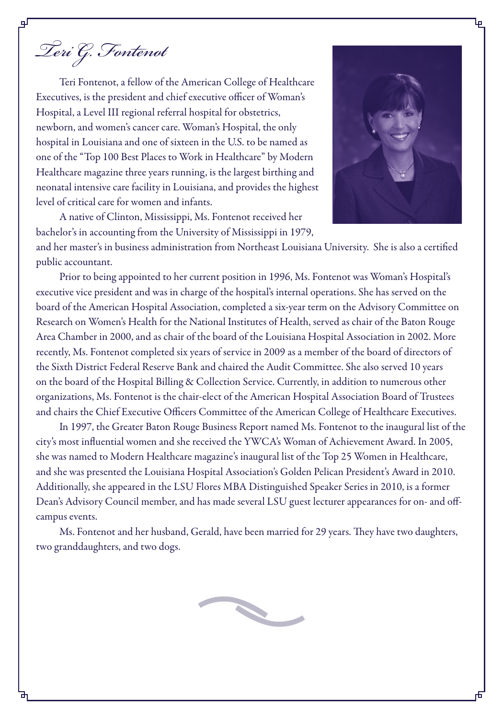*Teri G. Fontenot*

Teri Fontenot, a fellow of the American College of Healthcare Executives, is the president and chief executive officer of Woman's Hospital, a Level III regional referral hospital for obstetrics, newborn, and women's cancer care. Woman's Hospital, the only hospital in Louisiana and one of sixteen in the U.S. to be named as one of the "Top 100 Best Places to Work in Healthcare" by Modern Healthcare magazine three years running, is the largest birthing and neonatal intensive care facility in Louisiana, and provides the highest level of critical care for women and infants.

A native of Clinton, Mississippi, Ms. Fontenot received her bachelor's in accounting from the University of Mississippi in 1979,



and her master's in business administration from Northeast Louisiana University. She is also a certified public accountant.

Prior to being appointed to her current position in 1996, Ms. Fontenot was Woman's Hospital's executive vice president and was in charge of the hospital's internal operations. She has served on the board of the American Hospital Association, completed a six-year term on the Advisory Committee on Research on Women's Health for the National Institutes of Health, served as chair of the Baton Rouge Area Chamber in 2000, and as chair of the board of the Louisiana Hospital Association in 2002. More recently, Ms. Fontenot completed six years of service in 2009 as a member of the board of directors of the Sixth District Federal Reserve Bank and chaired the Audit Committee. She also served 10 years on the board of the Hospital Billing & Collection Service. Currently, in addition to numerous other organizations, Ms. Fontenot is the chair-elect of the American Hospital Association Board of Trustees and chairs the Chief Executive Officers Committee of the American College of Healthcare Executives.

In 1997, the Greater Baton Rouge Business Report named Ms. Fontenot to the inaugural list of the city's most influential women and she received the YWCA's Woman of Achievement Award. In 2005, she was named to Modern Healthcare magazine's inaugural list of the Top 25 Women in Healthcare, and she was presented the Louisiana Hospital Association's Golden Pelican President's Award in 2010. Additionally, she appeared in the LSU Flores MBA Distinguished Speaker Series in 2010, is a former Dean's Advisory Council member, and has made several LSU guest lecturer appearances for on- and offcampus events.

Ms. Fontenot and her husband, Gerald, have been married for 29 years. They have two daughters, two granddaughters, and two dogs.

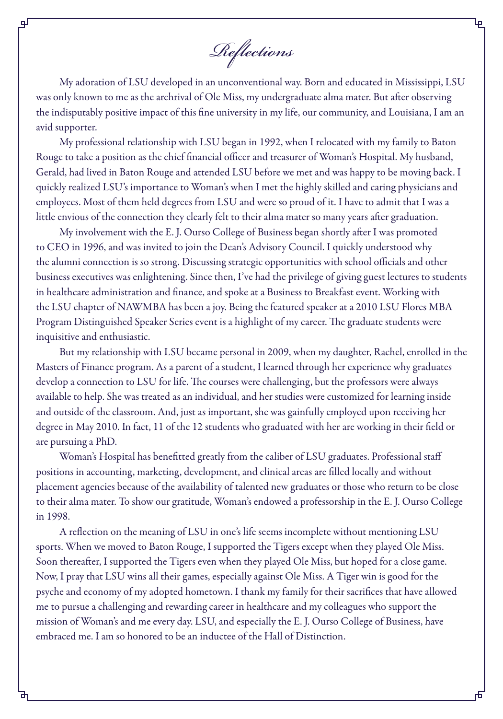*Reflections*

My adoration of LSU developed in an unconventional way. Born and educated in Mississippi, LSU was only known to me as the archrival of Ole Miss, my undergraduate alma mater. But after observing the indisputably positive impact of this fine university in my life, our community, and Louisiana, I am an avid supporter.

My professional relationship with LSU began in 1992, when I relocated with my family to Baton Rouge to take a position as the chief financial officer and treasurer of Woman's Hospital. My husband, Gerald, had lived in Baton Rouge and attended LSU before we met and was happy to be moving back. I quickly realized LSU's importance to Woman's when I met the highly skilled and caring physicians and employees. Most of them held degrees from LSU and were so proud of it. I have to admit that I was a little envious of the connection they clearly felt to their alma mater so many years after graduation.

My involvement with the E. J. Ourso College of Business began shortly after I was promoted to CEO in 1996, and was invited to join the Dean's Advisory Council. I quickly understood why the alumni connection is so strong. Discussing strategic opportunities with school officials and other business executives was enlightening. Since then, I've had the privilege of giving guest lectures to students in healthcare administration and finance, and spoke at a Business to Breakfast event. Working with the LSU chapter of NAWMBA has been a joy. Being the featured speaker at a 2010 LSU Flores MBA Program Distinguished Speaker Series event is a highlight of my career. The graduate students were inquisitive and enthusiastic.

But my relationship with LSU became personal in 2009, when my daughter, Rachel, enrolled in the Masters of Finance program. As a parent of a student, I learned through her experience why graduates develop a connection to LSU for life. The courses were challenging, but the professors were always available to help. She was treated as an individual, and her studies were customized for learning inside and outside of the classroom. And, just as important, she was gainfully employed upon receiving her degree in May 2010. In fact, 11 of the 12 students who graduated with her are working in their field or are pursuing a PhD.

Woman's Hospital has benefitted greatly from the caliber of LSU graduates. Professional staff positions in accounting, marketing, development, and clinical areas are filled locally and without placement agencies because of the availability of talented new graduates or those who return to be close to their alma mater. To show our gratitude, Woman's endowed a professorship in the E. J. Ourso College in 1998.

A reflection on the meaning of LSU in one's life seems incomplete without mentioning LSU sports. When we moved to Baton Rouge, I supported the Tigers except when they played Ole Miss. Soon thereafter, I supported the Tigers even when they played Ole Miss, but hoped for a close game. Now, I pray that LSU wins all their games, especially against Ole Miss. A Tiger win is good for the psyche and economy of my adopted hometown. I thank my family for their sacrifices that have allowed me to pursue a challenging and rewarding career in healthcare and my colleagues who support the mission of Woman's and me every day. LSU, and especially the E. J. Ourso College of Business, have embraced me. I am so honored to be an inductee of the Hall of Distinction.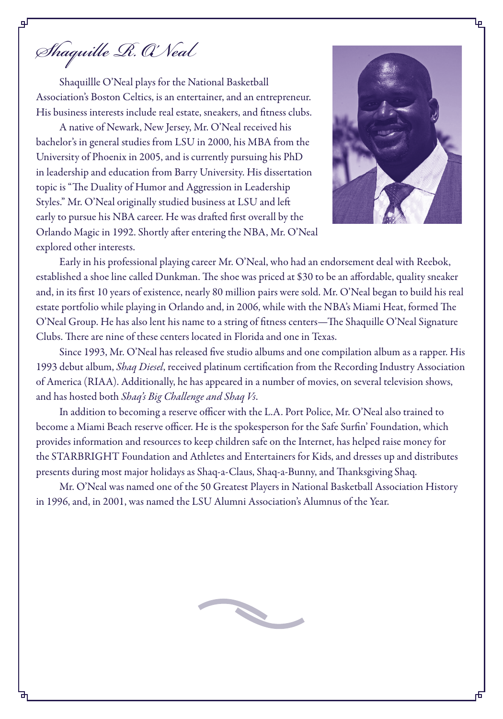*Shaquille R. O'Neal*

핖

Shaquillle O'Neal plays for the National Basketball Association's Boston Celtics, is an entertainer, and an entrepreneur. His business interests include real estate, sneakers, and fitness clubs.

A native of Newark, New Jersey, Mr. O'Neal received his bachelor's in general studies from LSU in 2000, his MBA from the University of Phoenix in 2005, and is currently pursuing his PhD in leadership and education from Barry University. His dissertation topic is "The Duality of Humor and Aggression in Leadership Styles." Mr. O'Neal originally studied business at LSU and left early to pursue his NBA career. He was drafted first overall by the Orlando Magic in 1992. Shortly after entering the NBA, Mr. O'Neal explored other interests.



Early in his professional playing career Mr. O'Neal, who had an endorsement deal with Reebok, established a shoe line called Dunkman. The shoe was priced at \$30 to be an affordable, quality sneaker and, in its first 10 years of existence, nearly 80 million pairs were sold. Mr. O'Neal began to build his real estate portfolio while playing in Orlando and, in 2006, while with the NBA's Miami Heat, formed The O'Neal Group. He has also lent his name to a string of fitness centers—The Shaquille O'Neal Signature Clubs. There are nine of these centers located in Florida and one in Texas.

Since 1993, Mr. O'Neal has released five studio albums and one compilation album as a rapper. His 1993 debut album, *Shaq Diesel*, received platinum certification from the Recording Industry Association of America (RIAA). Additionally, he has appeared in a number of movies, on several television shows, and has hosted both *Shaq's Big Challenge and Shaq Vs*.

In addition to becoming a reserve officer with the L.A. Port Police, Mr. O'Neal also trained to become a Miami Beach reserve officer. He is the spokesperson for the Safe Surfin' Foundation, which provides information and resources to keep children safe on the Internet, has helped raise money for the STARBRIGHT Foundation and Athletes and Entertainers for Kids, and dresses up and distributes presents during most major holidays as Shaq-a-Claus, Shaq-a-Bunny, and Thanksgiving Shaq.

Mr. O'Neal was named one of the 50 Greatest Players in National Basketball Association History in 1996, and, in 2001, was named the LSU Alumni Association's Alumnus of the Year.

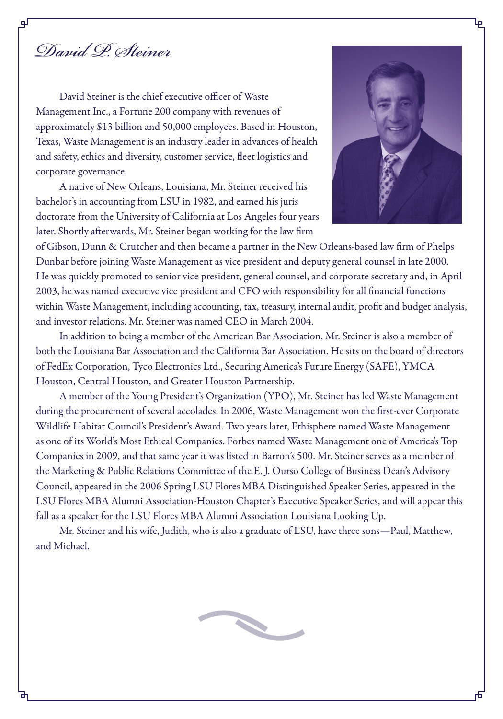*David P. Steiner*

David Steiner is the chief executive officer of Waste Management Inc., a Fortune 200 company with revenues of approximately \$13 billion and 50,000 employees. Based in Houston, Texas, Waste Management is an industry leader in advances of health and safety, ethics and diversity, customer service, fleet logistics and corporate governance.

A native of New Orleans, Louisiana, Mr. Steiner received his bachelor's in accounting from LSU in 1982, and earned his juris doctorate from the University of California at Los Angeles four years later. Shortly afterwards, Mr. Steiner began working for the law firm



of Gibson, Dunn & Crutcher and then became a partner in the New Orleans-based law firm of Phelps Dunbar before joining Waste Management as vice president and deputy general counsel in late 2000. He was quickly promoted to senior vice president, general counsel, and corporate secretary and, in April 2003, he was named executive vice president and CFO with responsibility for all financial functions within Waste Management, including accounting, tax, treasury, internal audit, profit and budget analysis, and investor relations. Mr. Steiner was named CEO in March 2004.

In addition to being a member of the American Bar Association, Mr. Steiner is also a member of both the Louisiana Bar Association and the California Bar Association. He sits on the board of directors of FedEx Corporation, Tyco Electronics Ltd., Securing America's Future Energy (SAFE), YMCA Houston, Central Houston, and Greater Houston Partnership.

A member of the Young President's Organization (YPO), Mr. Steiner has led Waste Management during the procurement of several accolades. In 2006, Waste Management won the first-ever Corporate Wildlife Habitat Council's President's Award. Two years later, Ethisphere named Waste Management as one of its World's Most Ethical Companies. Forbes named Waste Management one of America's Top Companies in 2009, and that same year it was listed in Barron's 500. Mr. Steiner serves as a member of the Marketing & Public Relations Committee of the E. J. Ourso College of Business Dean's Advisory Council, appeared in the 2006 Spring LSU Flores MBA Distinguished Speaker Series, appeared in the LSU Flores MBA Alumni Association-Houston Chapter's Executive Speaker Series, and will appear this fall as a speaker for the LSU Flores MBA Alumni Association Louisiana Looking Up.

Mr. Steiner and his wife, Judith, who is also a graduate of LSU, have three sons—Paul, Matthew, and Michael.

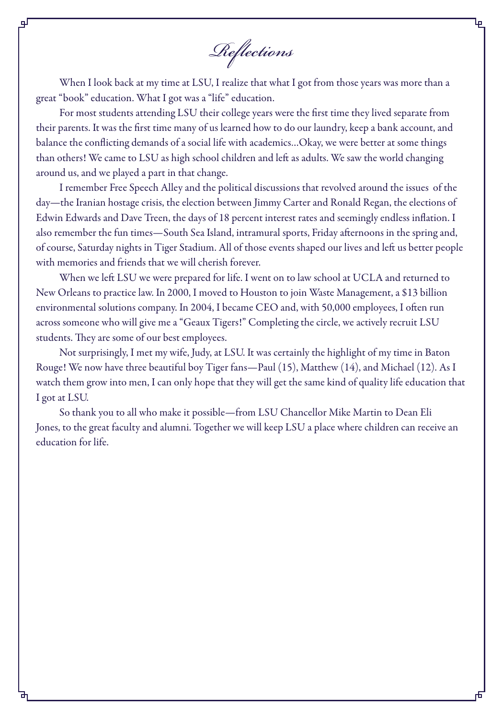*Reflections*

When I look back at my time at LSU, I realize that what I got from those years was more than a great "book" education. What I got was a "life" education.

цJ

For most students attending LSU their college years were the first time they lived separate from their parents. It was the first time many of us learned how to do our laundry, keep a bank account, and balance the conflicting demands of a social life with academics…Okay, we were better at some things than others! We came to LSU as high school children and left as adults. We saw the world changing around us, and we played a part in that change.

I remember Free Speech Alley and the political discussions that revolved around the issues of the day—the Iranian hostage crisis, the election between Jimmy Carter and Ronald Regan, the elections of Edwin Edwards and Dave Treen, the days of 18 percent interest rates and seemingly endless inflation. I also remember the fun times—South Sea Island, intramural sports, Friday afternoons in the spring and, of course, Saturday nights in Tiger Stadium. All of those events shaped our lives and left us better people with memories and friends that we will cherish forever.

When we left LSU we were prepared for life. I went on to law school at UCLA and returned to New Orleans to practice law. In 2000, I moved to Houston to join Waste Management, a \$13 billion environmental solutions company. In 2004, I became CEO and, with 50,000 employees, I often run across someone who will give me a "Geaux Tigers!" Completing the circle, we actively recruit LSU students. They are some of our best employees.

Not surprisingly, I met my wife, Judy, at LSU. It was certainly the highlight of my time in Baton Rouge! We now have three beautiful boy Tiger fans—Paul (15), Matthew (14), and Michael (12). As I watch them grow into men, I can only hope that they will get the same kind of quality life education that I got at LSU.

So thank you to all who make it possible—from LSU Chancellor Mike Martin to Dean Eli Jones, to the great faculty and alumni. Together we will keep LSU a place where children can receive an education for life.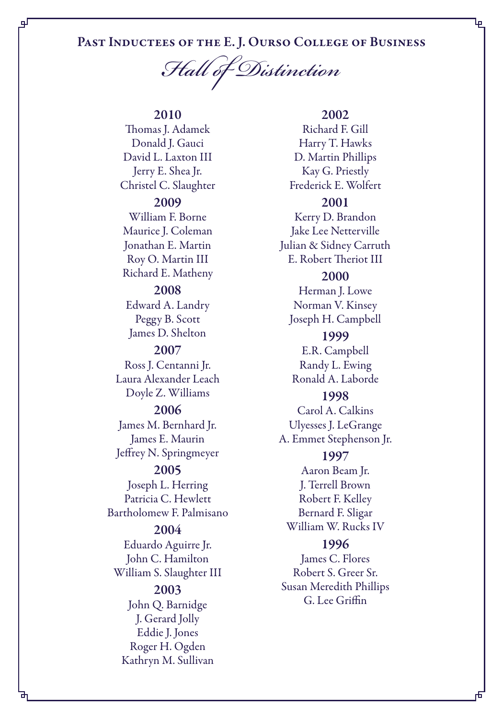# Past Inductees of the E. J. Ourso College of Business

*Hall of Distinction*

# 2010

qГ

Thomas J. Adamek Donald J. Gauci David L. Laxton III Jerry E. Shea Jr. Christel C. Slaughter 2009 William F. Borne Maurice J. Coleman Jonathan E. Martin Roy O. Martin III Richard E. Matheny 2008 Edward A. Landry Peggy B. Scott James D. Shelton 2007 Ross J. Centanni Jr. Laura Alexander Leach Doyle Z. Williams 2006 James M. Bernhard Jr. James E. Maurin Jeffrey N. Springmeyer 2005 Joseph L. Herring Patricia C. Hewlett Bartholomew F. Palmisano

# 2004 Eduardo Aguirre Jr. John C. Hamilton William S. Slaughter III 2003 John Q. Barnidge J. Gerard Jolly

Eddie J. Jones Roger H. Ogden Kathryn M. Sullivan

#### 2002

Ļρ

Richard F. Gill Harry T. Hawks D. Martin Phillips Kay G. Priestly Frederick E. Wolfert 2001 Kerry D. Brandon Jake Lee Netterville Julian & Sidney Carruth E. Robert Theriot III

### 2000

Herman J. Lowe Norman V. Kinsey Joseph H. Campbell

# 1999

E.R. Campbell Randy L. Ewing Ronald A. Laborde

## 1998

Carol A. Calkins Ulyesses J. LeGrange A. Emmet Stephenson Jr.

#### 1997

Aaron Beam Jr. J. Terrell Brown Robert F. Kelley Bernard F. Sligar William W. Rucks IV

#### 1996

James C. Flores Robert S. Greer Sr. Susan Meredith Phillips G. Lee Griffin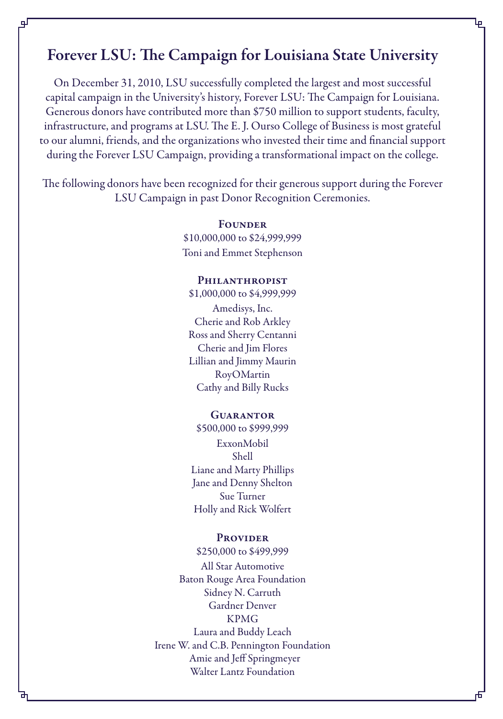# Forever LSU: The Campaign for Louisiana State University

Ļρ

qГ

On December 31, 2010, LSU successfully completed the largest and most successful capital campaign in the University's history, Forever LSU: The Campaign for Louisiana. Generous donors have contributed more than \$750 million to support students, faculty, infrastructure, and programs at LSU. The E. J. Ourso College of Business is most grateful to our alumni, friends, and the organizations who invested their time and financial support during the Forever LSU Campaign, providing a transformational impact on the college.

The following donors have been recognized for their generous support during the Forever LSU Campaign in past Donor Recognition Ceremonies.

> **FOUNDER** \$10,000,000 to \$24,999,999 Toni and Emmet Stephenson

#### PHILANTHROPIST

\$1,000,000 to \$4,999,999 Amedisys, Inc. Cherie and Rob Arkley Ross and Sherry Centanni Cherie and Jim Flores Lillian and Jimmy Maurin RoyOMartin Cathy and Billy Rucks

#### **GUARANTOR**

\$500,000 to \$999,999 ExxonMobil Shell Liane and Marty Phillips Jane and Denny Shelton Sue Turner Holly and Rick Wolfert

#### **PROVIDER**

\$250,000 to \$499,999 All Star Automotive Baton Rouge Area Foundation Sidney N. Carruth Gardner Denver KPMG Laura and Buddy Leach Irene W. and C.B. Pennington Foundation Amie and Jeff Springmeyer Walter Lantz Foundation